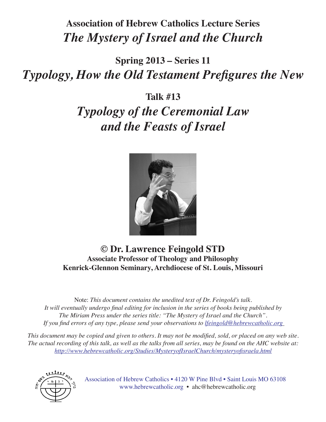### **Association of Hebrew Catholics Lecture Series** *The Mystery of Israel and the Church*

# **Spring 2013 – Series 11** *Typology, How the Old Testament Prefigures the New*

**Talk #13** *Typology of the Ceremonial Law and the Feasts of Israel* 



### **© Dr. Lawrence Feingold STD Associate Professor of Theology and Philosophy Kenrick-Glennon Seminary, Archdiocese of St. Louis, Missouri**

Note: *This document contains the unedited text of Dr. Feingold's talk. It will eventually undergo final editing for inclusion in the series of books being published by The Miriam Press under the series title: "The Mystery of Israel and the Church". If you find errors of any type, please send your observations to lfeingold@hebrewcatholic.org*

*This document may be copied and given to others. It may not be modified, sold, or placed on any web site. The actual recording of this talk, as well as the talks from all series, may be found on the AHC website at: http://www.hebrewcatholic.org/Studies/MysteryofIsraelChurch/mysteryofisraela.html*



Association of Hebrew Catholics • 4120 W Pine Blvd • Saint Louis MO 63108 www.hebrewcatholic.org • ahc@hebrewcatholic.org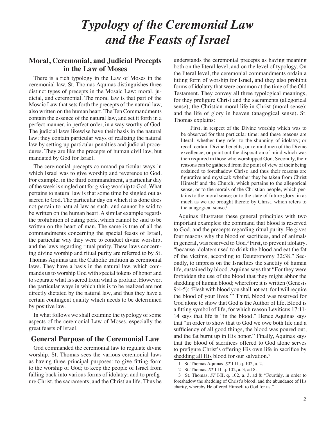## *Typology of the Ceremonial Law and the Feasts of Israel*

### **Moral, Ceremonial, and Judicial Precepts in the Law of Moses**

There is a rich typology in the Law of Moses in the ceremonial law. St. Thomas Aquinas distinguishes three distinct types of precepts in the Mosaic Law: moral, judicial, and ceremonial. The moral law is that part of the Mosaic Law that sets forth the precepts of the natural law, also written on the human heart. The Ten Commandments contain the essence of the natural law, and set it forth in a perfect manner, in perfect order, in a way worthy of God. The judicial laws likewise have their basis in the natural law; they contain particular ways of realizing the natural law by setting up particular penalties and judicial procedures. They are like the precepts of human civil law, but mandated by God for Israel.

The ceremonial precepts command particular ways in which Israel was to give worship and reverence to God. For example, in the third commandment, a particular day of the week is singled out for giving worship to God. What pertains to natural law is that some time be singled out as sacred to God. The particular day on which it is done does not pertain to natural law as such, and cannot be said to be written on the human heart. A similar example regards the prohibition of eating pork, which cannot be said to be written on the heart of man. The same is true of all the commandments concerning the special feasts of Israel, the particular way they were to conduct divine worship, and the laws regarding ritual purity. These laws concerning divine worship and ritual purity are referred to by St. Thomas Aquinas and the Catholic tradition as ceremonial laws. They have a basis in the natural law, which commands us to worship God with special tokens of honor and to separate what is sacred from what is profane. However, the particular ways in which this is to be realized are not directly dictated by the natural law, and thus they have a certain contingent quality which needs to be determined by positive law.

In what follows we shall examine the typology of some aspects of the ceremonial Law of Moses, especially the great feasts of Israel.

#### **General Purpose of the Ceremonial Law**

God commanded the ceremonial law to regulate divine worship. St. Thomas sees the various ceremonial laws as having three principal purposes: to give fitting form to the worship of God; to keep the people of Israel from falling back into various forms of idolatry; and to prefigure Christ, the sacraments, and the Christian life. Thus he

understands the ceremonial precepts as having meaning both on the literal level, and on the level of typology. On the literal level, the ceremonial commandments ordain a fitting form of worship for Israel, and they also prohibit forms of idolatry that were common at the time of the Old Testament. They convey all three typological meanings, for they prefigure Christ and the sacraments (allegorical sense); the Christian moral life in Christ (moral sense); and the life of glory in heaven (anagogical sense). St. Thomas explains:

First, in respect of the Divine worship which was to be observed for that particular time: and these reasons are literal: whether they refer to the shunning of idolatry; or recall certain Divine benefits; or remind men of the Divine excellence; or point out the disposition of mind which was then required in those who worshipped God. Secondly, their reasons can be gathered from the point of view of their being ordained to foreshadow Christ: and thus their reasons are figurative and mystical: whether they be taken from Christ Himself and the Church, which pertains to the allegorical sense; or to the morals of the Christian people, which pertains to the moral sense; or to the state of future glory, in as much as we are brought thereto by Christ, which refers to the anagogical sense. $<sup>1</sup>$ </sup>

Aquinas illustrates these general principles with two important examples: the command that blood is reserved to God, and the precepts regarding ritual purity. He gives four reasons why the blood of sacrifices, and of animals in general, was reserved to God.2 First, to prevent idolatry, "because idolaters used to drink the blood and eat the fat of the victims, according to Deuteronomy 32:38." Secondly, to impress on the Israelites the sanctity of human life, sustained by blood. Aquinas says that "For they were forbidden the use of the blood that they might abhor the shedding of human blood; wherefore it is written (Genesis 9:4-5): 'Flesh with blood you shall not eat: for I will require the blood of your lives.'" Third, blood was reserved for God alone to show that God is the Author of life. Blood is a fitting symbol of life, for which reason Leviticus 17:11- 14 says that life is "in the blood." Hence Aquinas says that "in order to show that to God we owe both life and a sufficiency of all good things, the blood was poured out, and the fat burnt up in His honor." Finally, Aquinas says that the blood of sacrifices offered to God alone serves to prefigure Christ's offering His own life in sacrifice by shedding all His blood for our salvation.<sup>3</sup>

- 1 St. Thomas Aquinas, *ST* I-II, q. 102, a. 2.
- 2 St. Thomas, *ST* I-II, q. 102, a. 3, ad 8.

<sup>3</sup> St. Thomas, *ST* I-II, q. 102, a. 3, ad 8: "Fourthly, in order to foreshadow the shedding of Christ's blood, and the abundance of His charity, whereby He offered Himself to God for us."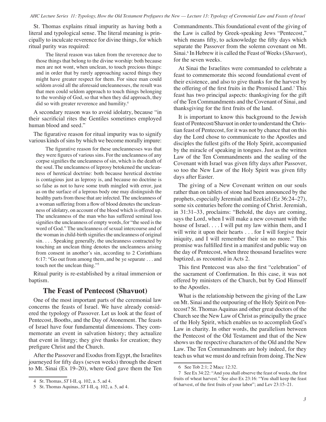St. Thomas explains ritual impurity as having both a literal and typological sense. The literal meaning is principally to inculcate reverence for divine things, for which ritual purity was required:

The literal reason was taken from the reverence due to those things that belong to the divine worship: both because men are not wont, when unclean, to touch precious things: and in order that by rarely approaching sacred things they might have greater respect for them. For since man could seldom avoid all the aforesaid uncleannesses, the result was that men could seldom approach to touch things belonging to the worship of God, so that when they did approach, they did so with greater reverence and humility.4

A secondary reason was to avoid idolatry, because "in their sacrificial rites the Gentiles sometimes employed human blood and seed."

The figurative reason for ritual impurity was to signify various kinds of sins by which we become morally impure:

The figurative reason for these uncleannesses was that they were figures of various sins. For the uncleanness of any corpse signifies the uncleanness of sin, which is the death of the soul. The uncleanness of leprosy betokened the uncleanness of heretical doctrine: both because heretical doctrine is contagious just as leprosy is, and because no doctrine is so false as not to have some truth mingled with error, just as on the surface of a leprous body one may distinguish the healthy parts from those that are infected. The uncleanness of a woman suffering from a flow of blood denotes the uncleanness of idolatry, on account of the blood which is offered up. The uncleanness of the man who has suffered seminal loss signifies the uncleanness of empty words, for "the seed is the word of God." The uncleanness of sexual intercourse and of the woman in child-birth signifies the uncleanness of original sin. . . . Speaking generally, the uncleanness contracted by touching an unclean thing denotes the uncleanness arising from consent in another's sin, according to 2 Corinthians 6:17: "Go out from among them, and be ye separate . . . and touch not the unclean thing."5

Ritual purity is re-established by a ritual immersion or baptism.

#### **The Feast of Pentecost (Shavuot)**

One of the most important parts of the ceremonial law concerns the feasts of Israel. We have already considered the typology of Passover. Let us look at the feast of Pentecost, Booths, and the Day of Atonement. The feasts of Israel have four fundamental dimensions. They commemorate an event in salvation history; they actualize that event in liturgy; they give thanks for creation; they prefigure Christ and the Church.

After the Passover and Exodus from Egypt, the Israelites journeyed for fifty days (seven weeks) through the desert to Mt. Sinai (Ex 19–20), where God gave them the Ten

Commandments. This foundational event of the giving of the Law is called by Greek-speaking Jews "Pentecost," which means fifty, to acknowledge the fifty days which separate the Passover from the solemn covenant on Mt. Sinai.6 In Hebrew it is called the Feast of Weeks (*Shavuot*), for the seven weeks.

At Sinai the Israelites were commanded to celebrate a feast to commemorate this second foundational event of their existence, and also to give thanks for the harvest by the offering of the first fruits in the Promised Land. 7 This feast has two principal aspects: thanksgiving for the gift of the Ten Commandments and the Covenant of Sinai, and thanksgiving for the first fruits of the land.

It is important to know this background to the Jewish feast of Pentecost/Shavuot in order to understand the Christian feast of Pentecost, for it was not by chance that on this day the Lord chose to communicate to the Apostles and disciples the fullest gifts of the Holy Spirit, accompanied by the miracle of speaking in tongues. Just as the written Law of the Ten Commandments and the sealing of the Covenant with Israel was given fifty days after Passover, so too the New Law of the Holy Spirit was given fifty days after Easter.

The giving of a New Covenant written on our souls rather than on tablets of stone had been announced by the prophets, especially Jeremiah and Ezekiel (Ez 36:24–27), some six centuries before the coming of Christ. Jeremiah, in 31:31–33, proclaims: "Behold, the days are coming, says the Lord, when I will make a new covenant with the house of Israel. . . . I will put my law within them, and I will write it upon their hearts . . . for I will forgive their iniquity, and I will remember their sin no more." This promise was fulfilled first in a manifest and public way on the day of Pentecost, when three thousand Israelites were baptized, as recounted in Acts 2.

This first Pentecost was also the first "celebration" of the sacrament of Confirmation. In this case, it was not offered by ministers of the Church, but by God Himself to the Apostles.

What is the relationship between the giving of the Law on Mt. Sinai and the outpouring of the Holy Spirit on Pentecost? St. Thomas Aquinas and other great doctors of the Church see the New Law of Christ as principally the grace of the Holy Spirit, which enables us to accomplish God's Law in charity. In other words, the parallelism between the Pentecost of the Old Testament and that of the New shows us the respective characters of the Old and the New Law. The Ten Commandments are holy indeed, for they teach us what we must do and refrain from doing. The New

<sup>4</sup> St. Thomas, *ST* I-II, q. 102, a. 5, ad 4.

<sup>5</sup> St. Thomas Aquinas, *ST* I-II, q. 102, a. 5, ad 4.

<sup>6</sup> See Tob 2:1; 2 Macc 12:32.

<sup>7</sup> See Ex 34:22: "And you shall observe the feast of weeks, the first fruits of wheat harvest." See also Ex 23:16: "You shall keep the feast of harvest, of the first fruits of your labor"; and Lev 23:15–21.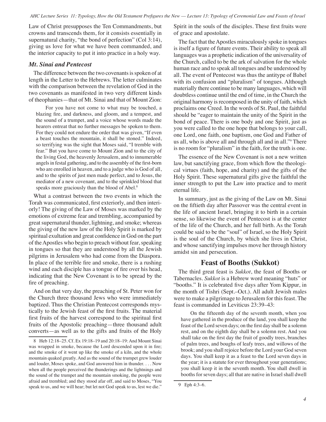Law of Christ presupposes the Ten Commandments, but crowns and transcends them, for it consists essentially in supernatural charity, "the bond of perfection" (Col 3:14), giving us love for what we have been commanded, and the interior capacity to put it into practice in a holy way.

#### *Mt. Sinai and Pentecost*

The difference between the two covenants is spoken of at length in the Letter to the Hebrews. The letter culminates with the comparison between the revelation of God in the two covenants as manifested in two very different kinds of theophanies—that of Mt. Sinai and that of Mount Zion:

For you have not come to what may be touched, a blazing fire, and darkness, and gloom, and a tempest, and the sound of a trumpet, and a voice whose words made the hearers entreat that no further messages be spoken to them. For they could not endure the order that was given, "If even a beast touches the mountain, it shall be stoned." Indeed, so terrifying was the sight that Moses said, "I tremble with fear." But you have come to Mount Zion and to the city of the living God, the heavenly Jerusalem, and to innumerable angels in festal gathering, and to the assembly of the first-born who are enrolled in heaven, and to a judge who is God of all, and to the spirits of just men made perfect, and to Jesus, the mediator of a new covenant, and to the sprinkled blood that speaks more graciously than the blood of Abel.<sup>8</sup>

What a contrast between the two events in which the Torah was communicated, first exteriorly, and then interiorly! The giving of the Law of Moses was marked by the emotions of extreme fear and trembling, accompanied by great supernatural thunder, lightning, and smoke; whereas the giving of the new law of the Holy Spirit is marked by spiritual exultation and great confidence in God on the part of the Apostles who begin to preach without fear, speaking in tongues so that they are understood by all the Jewish pilgrims in Jerusalem who had come from the Diaspora. In place of the terrible fire and smoke, there is a rushing wind and each disciple has a tongue of fire over his head, indicating that the New Covenant is to be spread by the fire of preaching.

And on that very day, the preaching of St. Peter won for the Church three thousand Jews who were immediately baptized. Thus the Christian Pentecost corresponds mystically to the Jewish feast of the first fruits. The material first fruits of the harvest correspond to the spiritual first fruits of the Apostolic preaching—three thousand adult converts—as well as to the gifts and fruits of the Holy

Spirit in the souls of the disciples. These first fruits were of grace and apostolate.

The fact that the Apostles miraculously spoke in tongues is itself a figure of future events. Their ability to speak all languages was a prophetic indication of the universality of the Church, called to be the ark of salvation for the whole human race and to speak all tongues and be understood by all. The event of Pentecost was thus the antitype of Babel with its confusion and "pluralism" of tongues. Although materially there continue to be many languages, which will doubtless continue until the end of time, in the Church the original harmony is recomposed in the unity of faith, which proclaims one Creed. In the words of St. Paul, the faithful should be "eager to maintain the unity of the Spirit in the bond of peace. There is one body and one Spirit, just as you were called to the one hope that belongs to your call, one Lord, one faith, one baptism, one God and Father of us all, who is above all and through all and in all."9 There is no room for "pluralism" in the faith, for the truth is one.

The essence of the New Covenant is not a new written law, but sanctifying grace, from which flow the theological virtues (faith, hope, and charity) and the gifts of the Holy Spirit. These supernatural gifts give the faithful the inner strength to put the Law into practice and to merit eternal life.

In summary, just as the giving of the Law on Mt. Sinai on the fiftieth day after Passover was the central event in the life of ancient Israel, bringing it to birth in a certain sense, so likewise the event of Pentecost is at the center of the life of the Church, and her full birth. As the Torah could be said to be the "soul" of Israel, so the Holy Spirit is the soul of the Church, by which she lives in Christ, and whose sanctifying impulses move her through history amidst sin and persecution.

#### **Feast of Booths (Sukkot)**

The third great feast is *Sukkot*, the feast of Booths or Tabernacles. *Sukkot* is a Hebrew word meaning "huts" or "booths." It is celebrated five days after Yom Kippur, in the month of Tishri (Sept.–Oct.). All adult Jewish males were to make a pilgrimage to Jerusalem for this feast. The feast is commanded in Leviticus 23:39–43:

On the fifteenth day of the seventh month, when you have gathered in the produce of the land, you shall keep the feast of the Lord seven days; on the first day shall be a solemn rest, and on the eighth day shall be a solemn rest. And you shall take on the first day the fruit of goodly trees, branches of palm trees, and boughs of leafy trees, and willows of the brook; and you shall rejoice before the Lord your God seven days. You shall keep it as a feast to the Lord seven days in the year; it is a statute for ever throughout your generations; you shall keep it in the seventh month. You shall dwell in booths for seven days; all that are native in Israel shall dwell

<sup>8</sup> Heb 12:18–25. Cf. Ex 19:18–19 and 20:18–19: And Mount Sinai was wrapped in smoke, because the Lord descended upon it in fire; and the smoke of it went up like the smoke of a kiln, and the whole mountain quaked greatly. And as the sound of the trumpet grew louder and louder, Moses spoke, and God answered him in thunder. . . . Now when all the people perceived the thunderings and the lightnings and the sound of the trumpet and the mountain smoking, the people were afraid and trembled; and they stood afar off, and said to Moses, "You speak to us, and we will hear; but let not God speak to us, lest we die."

<sup>9</sup> Eph 4:3–6.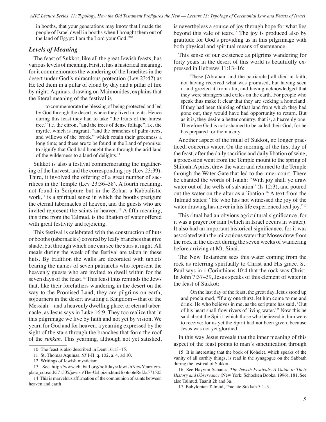in booths, that your generations may know that I made the people of Israel dwell in booths when I brought them out of the land of Egypt: I am the Lord your God."10

#### *Levels of Meaning*

The feast of Sukkot, like all the great Jewish feasts, has various levels of meaning. First, it has a historical meaning, for it commemorates the wandering of the Israelites in the desert under God's miraculous protection (Lev 23:42) as He led them in a pillar of cloud by day and a pillar of fire by night. Aquinas, drawing on Maimonides, explains that the literal meaning of the festival is

to commemorate the blessing of being protected and led by God through the desert, where they lived in tents. Hence during this feast they had to take "the fruits of the fairest tree," i.e. the citron, "and the trees of dense foliage", i.e. the myrtle, which is fragrant, "and the branches of palm-trees, and willows of the brook," which retain their greenness a long time; and these are to be found in the Land of promise; to signify that God had brought them through the arid land of the wilderness to a land of delights.<sup>11</sup>

Sukkot is also a festival commemorating the ingathering of the harvest, and the corresponding joy (Lev 23:39). Third, it involved the offering of a great number of sacrifices in the Temple (Lev 23:36–38). A fourth meaning, not found in Scripture but in the Zohar, a Kabbalistic work,12 is a spiritual sense in which the booths prefigure the eternal tabernacles of heaven, and the guests who are invited represent the saints in heaven.13 A fifth meaning, this time from the Talmud, is the libation of water offered with great festivity and rejoicing.

This festival is celebrated with the construction of huts or booths (tabernacles) covered by leafy branches that give shade, but through which one can see the stars at night. All meals during the week of the festival are taken in these huts. By tradition the walls are decorated with tablets bearing the names of seven patriarchs who represent the heavenly guests who are invited to dwell within for the seven days of the feast.<sup>14</sup> This feast thus reminds the Jews that, like their forefathers wandering in the desert on the way to the Promised Land, they are pilgrims on earth, sojourners in the desert awaiting a Kingdom—that of the Messiah—and a heavenly dwelling place, or eternal tabernacle, as Jesus says in Luke 16:9. They too realize that in this pilgrimage we live by faith and not yet by vision. We yearn for God and for heaven, a yearning expressed by the sight of the stars through the branches that form the roof of the *sukkah*. This yearning, although not yet satisfied,

is nevertheless a source of joy through hope for what lies beyond this vale of tears.<sup>15</sup> The joy is produced also by gratitude for God's providing us in this pilgrimage with both physical and spiritual means of sustenance.

This sense of our existence as pilgrims wandering for forty years in the desert of this world is beautifully expressed in Hebrews 11:13–16:

These [Abraham and the patriarchs] all died in faith, not having received what was promised, but having seen it and greeted it from afar, and having acknowledged that they were strangers and exiles on the earth. For people who speak thus make it clear that they are seeking a homeland. If they had been thinking of that land from which they had gone out, they would have had opportunity to return. But as it is, they desire a better country, that is, a heavenly one. Therefore God is not ashamed to be called their God, for he has prepared for them a city.

Another aspect of the ritual of Sukkot, no longer practiced, concerns water. On the morning of the first day of the feast, after the daily sacrifice and daily libation of wine, a procession went from the Temple mount to the spring of Shiloah. A priest drew the water and returned to the Temple through the Water Gate that led to the inner court. There he chanted the words of Isaiah: "With joy shall ye draw water out of the wells of salvation" (Is 12:3), and poured out the water on the altar as a libation.16 A text from the Talmud states: "He who has not witnessed the joy of the water drawing has never in his life experienced real joy."<sup>17</sup>

This ritual had an obvious agricultural significance, for it was a prayer for rain (which in Israel occurs in winter). It also had an important historical significance, for it was associated with the miraculous water that Moses drew from the rock in the desert during the seven weeks of wandering before arriving at Mt. Sinai.

The New Testament sees this water coming from the rock as referring spiritually to Christ and His grace. St. Paul says in 1 Corinthians 10:4 that the rock was Christ. In John 7:37–39, Jesus speaks of this element of water in the feast of Sukkot:

On the last day of the feast, the great day, Jesus stood up and proclaimed, "If any one thirst, let him come to me and drink. He who believes in me, as the scripture has said, 'Out of his heart shall flow rivers of living water.'" Now this he said about the Spirit, which those who believed in him were to receive; for as yet the Spirit had not been given, because Jesus was not yet glorified.

In this way Jesus reveals that the inner meaning of this aspect of the feast points to man's sanctification through

<sup>10</sup> The feast is also described in Deut 16:13–15.

<sup>11</sup> St. Thomas Aquinas, *ST* I-II, q. 102, a. 4, ad 10.

<sup>12</sup> Writings of Jewish mysticism.

<sup>13</sup> See http://www.chabad.org/holidays/JewishNewYear/tem-

plate\_cdo/aid/571505/jewish/The-Ushpizin.htm#footnoteRef2a571505 14 This is marvelous affirmation of the communion of saints between heaven and earth.

<sup>15</sup> It is interesting that the book of Kohelet, which speaks of the vanity of all earthly things, is read in the synagogue on the Sabbath during the festival of Sukkot.

<sup>16</sup> See Hayyim Schauss, *The Jewish Festivals. A Guide to Their History and Observance* (New York: Schocken Books, 1996), 181. See also Talmud, Taanit 2b and 3a.

<sup>17</sup> Babylonian Talmud, Tractate Sukkah 5:1–3.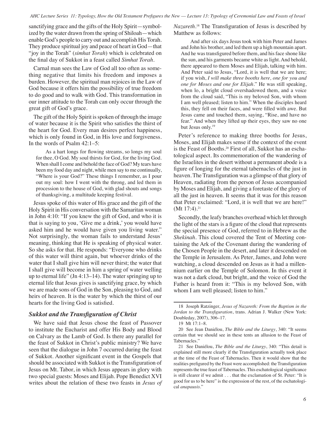sanctifying grace and the gifts of the Holy Spirit—symbolized by the water drawn from the spring of Shiloah—which enable God's people to carry out and accomplish His Torah. They produce spiritual joy and peace of heart in God—that "joy in the Torah" (*simhat Torah*) which is celebrated on the final day of Sukkot in a feast called *Simhat Torah*.

Carnal man sees the Law of God all too often as something negative that limits his freedom and imposes a burden. However, the spiritual man rejoices in the Law of God because it offers him the possibility of true freedom to do good and to walk with God. This transformation in our inner attitude to the Torah can only occur through the great gift of God's grace.

The gift of the Holy Spirit is spoken of through the image of water because it is the Spirit who satisfies the thirst of the heart for God. Every man desires perfect happiness, which is only found in God, in His love and forgiveness. In the words of Psalm 42:1–5:

As a hart longs for flowing streams, so longs my soul for thee, O God. My soul thirsts for God, for the living God. When shall I come and behold the face of God? My tears have been my food day and night, while men say to me continually, "Where is your God?" These things I remember, as I pour out my soul: how I went with the throng, and led them in procession to the house of God, with glad shouts and songs of thanksgiving, a multitude keeping festival.

Jesus spoke of this water of His grace and the gift of the Holy Spirit in His conversation with the Samaritan woman in John 4:10: "If you knew the gift of God, and who it is that is saying to you, 'Give me a drink,' you would have asked him and he would have given you living water." Not surprisingly, the woman fails to understand Jesus' meaning, thinking that He is speaking of physical water. So she asks for that. He responds: "Everyone who drinks of this water will thirst again, but whoever drinks of the water that I shall give him will never thirst; the water that I shall give will become in him a spring of water welling up to eternal life" (Jn 4:13–14). The water springing up to eternal life that Jesus gives is sanctifying grace, by which we are made sons of God in the Son, pleasing to God, and heirs of heaven. It is the water by which the thirst of our hearts for the living God is satisfied.

#### *Sukkot and the Transfiguration of Christ*

We have said that Jesus chose the feast of Passover to institute the Eucharist and offer His Body and Blood on Calvary as the Lamb of God. Is there any parallel for the feast of Sukkot in Christ's public ministry? We have seen that the dialogue in John 7 occurred during the feast of Sukkot. Another significant event in the Gospels that should be associated with Sukkot is the Transfiguration of Jesus on Mt. Tabor, in which Jesus appears in glory with two special guests: Moses and Elijah. Pope Benedict XVI writes about the relation of these two feasts in *Jesus of* 

*Nazareth*. 18 The Transfiguration of Jesus is described by Matthew as follows:

And after six days Jesus took with him Peter and James and John his brother, and led them up a high mountain apart. And he was transfigured before them, and his face shone like the sun, and his garments became white as light. And behold, there appeared to them Moses and Elijah, talking with him. And Peter said to Jesus, "Lord, it is well that we are here; if you wish, *I will make three booths here, one for you and one for Moses and one for Elijah*." He was still speaking, when lo, a bright cloud overshadowed them, and a voice from the cloud said, "This is my beloved Son, with whom I am well pleased; listen to him." When the disciples heard this, they fell on their faces, and were filled with awe. But Jesus came and touched them, saying, "Rise, and have no fear." And when they lifted up their eyes, they saw no one but Jesus only.<sup>19</sup>

Peter's reference to making three booths for Jesus, Moses, and Elijah makes sense if the context of the event is the Feast of Booths.<sup>20</sup> First of all, Sukkot has an eschatological aspect. Its commemoration of the wandering of the Israelites in the desert without a permanent abode is a figure of longing for the eternal tabernacles of the just in heaven. The Transfiguration was a glimpse of that glory of Heaven, radiating from the person of Jesus accompanied by Moses and Elijah, and giving a foretaste of the glory of all the just in heaven. It seems that it was for this reason that Peter exclaimed: "Lord, it is well that we are here!" (Mt 17:4).<sup>21</sup>

Secondly, the leafy branches overhead which let through the light of the stars is a figure of the cloud that represents the special presence of God, referred to in Hebrew as the *Shekinah*. This cloud covered the Tent of Meeting containing the Ark of the Covenant during the wandering of the Chosen People in the desert, and later it descended on the Temple in Jerusalem. As Peter, James, and John were watching, a cloud descended on Jesus as it had a millennium earlier on the Temple of Solomon. In this event it was not a dark cloud, but bright, and the voice of God the Father is heard from it: "This is my beloved Son, with whom I am well pleased; listen to him."

<sup>18</sup> Joseph Ratzinger, *Jesus of Nazareth: From the Baptism in the Jordan to the Transfiguration*, trans. Adrian J. Walker (New York: Doubleday, 2007), 306–17.

<sup>19</sup> Mt 17:1–8.

<sup>20</sup> See Jean Daniélou, *The Bible and the Liturgy*, 340: "It seems certain that we should see in these tents an allusion to the Feast of Tabernacles."

<sup>21</sup> See Daniélou, *The Bible and the Liturgy*, 340: "This detail is explained still more clearly if the Transfiguration actually took place at the time of the Feast of Tabernacles. Then it would show that the realities prefigured by the Feast were accomplished: the Transfiguration represents the true feast of Tabernacles. This eschatological significance is still clearer if we admit . . . that the exclamation of St. Peter: "It is good for us to be here" is the expression of the rest, of the eschatological *anapausis*."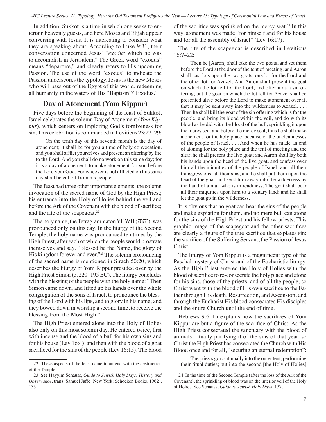In addition, Sukkot is a time in which one seeks to entertain heavenly guests, and here Moses and Elijah appear conversing with Jesus. It is interesting to consider what they are speaking about. According to Luke 9:31, their conversation concerned Jesus' "*exodus* which he was to accomplish in Jerusalem." The Greek word "exodus" means "departure," and clearly refers to His upcoming Passion. The use of the word "exodus" to indicate the Passion underscores the typology. Jesus is the new Moses who will pass out of the Egypt of this world, redeeming all humanity in the waters of His "Baptism"/"Exodus."

#### **Day of Atonement (Yom Kippur)**

Five days before the beginning of the feast of Sukkot, Israel celebrates the solemn Day of Atonement (*Yom Kippur*), which centers on imploring God's forgiveness for sin. This celebration is commanded in Leviticus 23:27–29:

On the tenth day of this seventh month is the day of atonement; it shall be for you a time of holy convocation, and you shall afflict yourselves and present an offering by fire to the Lord. And you shall do no work on this same day; for it is a day of atonement, to make atonement for you before the Lord your God. For whoever is not afflicted on this same day shall be cut off from his people.

The feast had three other important elements: the solemn invocation of the sacred name of God by the High Priest; his entrance into the Holy of Holies behind the veil and before the Ark of the Covenant with the blood of sacrifice; and the rite of the scapegoat.22

The holy name, the Tetragrammaton YHWH (יהוה(, was pronounced only on this day. In the liturgy of the Second Temple, the holy name was pronounced ten times by the High Priest, after each of which the people would prostrate themselves and say, "Blessed be the Name, the glory of His kingdom forever and ever."23 The solemn pronouncing of the sacred name is mentioned in Sirach 50:20, which describes the liturgy of Yom Kippur presided over by the High Priest Simon (c. 220–195 BC). The liturgy concludes with the blessing of the people with the holy name: "Then Simon came down, and lifted up his hands over the whole congregation of the sons of Israel, to pronounce the blessing of the Lord with his lips, and to glory in his name; and they bowed down in worship a second time, to receive the blessing from the Most High."

The High Priest entered alone into the Holy of Holies also only on this most solemn day. He entered twice, first with incense and the blood of a bull for his own sins and for his house (Lev 16:4), and then with the blood of a goat sacrificed for the sins of the people (Lev 16:15). The blood

of the sacrifice was sprinkled on the mercy seat.<sup>24</sup> In this way, atonement was made "for himself and for his house and for all the assembly of Israel" (Lev 16:17).

The rite of the scapegoat is described in Leviticus 16:7–22:

Then he [Aaron] shall take the two goats, and set them before the Lord at the door of the tent of meeting; and Aaron shall cast lots upon the two goats, one lot for the Lord and the other lot for Azazel. And Aaron shall present the goat on which the lot fell for the Lord, and offer it as a sin offering; but the goat on which the lot fell for Azazel shall be presented alive before the Lord to make atonement over it, that it may be sent away into the wilderness to Azazel. . . . Then he shall kill the goat of the sin offering which is for the people, and bring its blood within the veil, and do with its blood as he did with the blood of the bull, sprinkling it upon the mercy seat and before the mercy seat; thus he shall make atonement for the holy place, because of the uncleannesses of the people of Israel. . . . And when he has made an end of atoning for the holy place and the tent of meeting and the altar, he shall present the live goat; and Aaron shall lay both his hands upon the head of the live goat, and confess over him all the iniquities of the people of Israel, and all their transgressions, all their sins; and he shall put them upon the head of the goat, and send him away into the wilderness by the hand of a man who is in readiness. The goat shall bear all their iniquities upon him to a solitary land; and he shall let the goat go in the wilderness.

It is obvious that no goat can bear the sins of the people and make expiation for them, and no mere bull can atone for the sins of the High Priest and his fellow priests. This graphic image of the scapegoat and the other sacrifices are clearly a figure of the true sacrifice that expiates sin: the sacrifice of the Suffering Servant, the Passion of Jesus Christ.

The liturgy of Yom Kippur is a magnificent type of the Paschal mystery of Christ and of the Eucharistic liturgy. As the High Priest entered the Holy of Holies with the blood of sacrifice to re-consecrate the holy place and atone for his sins, those of the priests, and of all the people, so Christ went with the blood of His own sacrifice to the Father through His death, Resurrection, and Ascension, and through the Eucharist His blood consecrates His disciples and the entire Church until the end of time.

Hebrews 9:6–15 explains how the sacrifices of Yom Kippur are but a figure of the sacrifice of Christ. As the High Priest consecrated the sanctuary with the blood of animals, ritually purifying it of the sins of that year, so Christ the High Priest has consecrated the Church with His Blood once and for all, "securing an eternal redemption":

The priests go continually into the outer tent, performing their ritual duties; but into the second [the Holy of Holies]

<sup>22</sup> These aspects of the feast came to an end with the destruction of the Temple.

<sup>23</sup> See Hayyim Schauss, *Guide to Jewish Holy Days: History and Observance*, trans. Samuel Jaffe (New York: Schocken Books, 1962), 135.

<sup>24</sup> In the time of the Second Temple (after the loss of the Ark of the Covenant), the sprinkling of blood was on the interior veil of the Holy of Holies. See Schauss, *Guide to Jewish Holy Days*, 137.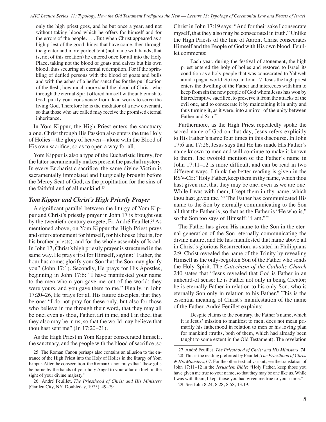only the high priest goes, and he but once a year, and not without taking blood which he offers for himself and for the errors of the people. . . . But when Christ appeared as a high priest of the good things that have come, then through the greater and more perfect tent (not made with hands, that is, not of this creation) he entered once for all into the Holy Place, taking not the blood of goats and calves but his own blood, thus securing an eternal redemption. For if the sprinkling of defiled persons with the blood of goats and bulls and with the ashes of a heifer sanctifies for the purification of the flesh, how much more shall the blood of Christ, who through the eternal Spirit offered himself without blemish to God, purify your conscience from dead works to serve the living God. Therefore he is the mediator of a new covenant, so that those who are called may receive the promised eternal inheritance.

In Yom Kippur, the High Priest enters the sanctuary alone. Christ through His Passion also enters the true Holy of Holies—the glory of heaven—alone with the Blood of His own sacrifice, so as to open a way for all.

Yom Kippur is also a type of the Eucharistic liturgy, for the latter sacramentally makes present the paschal mystery. In every Eucharistic sacrifice, the same divine Victim is sacramentally immolated and liturgically brought before the Mercy Seat of God, as the propitiation for the sins of the faithful and of all mankind.25

#### *Yom Kippur and Christ's High Priestly Prayer*

A significant parallel between the liturgy of Yom Kippur and Christ's priestly prayer in John 17 is brought out by the twentieth-century exegete, Fr. André Feuillet.<sup>26</sup> As mentioned above, on Yom Kippur the High Priest prays and offers atonement for himself, for his house (that is, for his brother priests), and for the whole assembly of Israel. In John 17, Christ's high priestly prayer is structured in the same way. He prays first for Himself, saying: "Father, the hour has come; glorify your Son that the Son may glorify you" (John 17:1). Secondly, He prays for His Apostles, beginning in John 17:6: "I have manifested your name to the men whom you gave me out of the world; they were yours, and you gave them to me." Finally, in John 17:20–26, He prays for all His future disciples, that they be one: "I do not pray for these only, but also for those who believe in me through their word, that they may all be one; even as thou, Father, art in me, and I in thee, that they also may be in us, so that the world may believe that thou hast sent me" (Jn 17:20–21).

As the High Priest in Yom Kippur consecrated himself, the sanctuary, and the people with the blood of sacrifice, so

Christ in John 17:19 says: "And for their sake I consecrate myself, that they also may be consecrated in truth." Unlike the High Priests of the line of Aaron, Christ consecrates Himself and the People of God with His own blood. Feuillet comments:

Each year, during the festival of atonement, the high priest entered the holy of holies and restored to Israel its condition as a holy people that was consecrated to Yahweh amid a pagan world. So too, in John 17, Jesus the high priest enters the dwelling of the Father and intercedes with him to keep from sin the new people of God whom Jesus has won by his redemptive sacrifice, to preserve it from the attacks of the evil one, and to consecrate it by maintaining it in unity and thus turning it, as it were, into a mirror of the unity between Father and Son.<sup>27</sup>

Furthermore, as the High Priest repeatedly spoke the sacred name of God on that day, Jesus refers explicitly to His Father's name four times in this discourse. In John 17:6 and 17:26, Jesus says that He has made His Father's name known to men and will continue to make it known to them. The twofold mention of the Father's name in John 17:11–12 is more difficult, and can be read in two different ways. I think the better reading is given in the RSV-CE: "Holy Father, keep them in thy name, which thou hast given me, that they may be one, even as we are one. While I was with them, I kept them in thy name, which thou hast given me."28 The Father has communicated His name to the Son by eternally communicating to the Son all that the Father is, so that as the Father is "He who is," so the Son too says of Himself: "I am."29

The Father has given His name to the Son in the eternal generation of the Son, eternally communicating the divine nature, and He has manifested that name above all in Christ's glorious Resurrection, as stated in Philippians 2:9. Christ revealed the name of the Trinity by revealing Himself as the only-begotten Son of the Father who sends the Holy Spirit. The *Catechism of the Catholic Church* 240 states that "Jesus revealed that God is Father in an unheard-of sense: he is Father not only in being Creator; he is eternally Father in relation to his only Son, who is eternally Son only in relation to his Father." This is the essential meaning of Christ's manifestation of the name of the Father. André Feuillet explains:

Despite claims to the contrary, the Father's name, which it is Jesus' mission to manifest to men, does not mean primarily his fatherhood in relation to men or his loving plan for mankind (truths, both of them, which had already been taught to some extent in the Old Testament). The revelation

<sup>25</sup> The Roman Canon perhaps also contains an allusion to the entrance of the High Priest into the Holy of Holies in the liturgy of Yom Kippur. After the consecration, the Roman Canon prays that "these gifts be borne by the hands of your holy Angel to your altar on high in the sight of your divine majesty."

<sup>26</sup> André Feuillet, *The Priesthood of Christ and His Ministers*  (Garden City, NY: Doubleday, 1975), 49–79.

<sup>27</sup> André Feuillet, *The Priesthood of Christ and His Ministers*, 74. 28 This is the reading preferred by Feuillet, *The Priesthood of Christ & His Ministers*, 67. For the other textual variant, see the translation of John 17:11–12 in the *Jerusalem Bible*: "Holy Father, keep those you have given me true to your name, so that they may be one like us. While I was with them, I kept those you had given me true to your name."

<sup>29</sup> See John 8:24; 8:28; 8:58; 13:19.